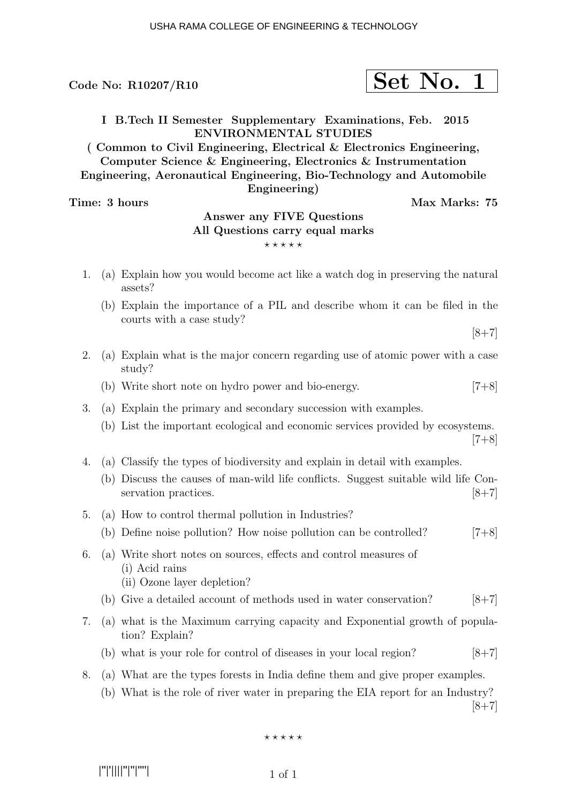$\text{Code No: R10207/R10} \qquad \qquad \text{Set No. 1}$ 

# I B.Tech II Semester Supplementary Examinations, Feb. 2015 ENVIRONMENTAL STUDIES

( Common to Civil Engineering, Electrical & Electronics Engineering, Computer Science & Engineering, Electronics & Instrumentation Engineering, Aeronautical Engineering, Bio-Technology and Automobile Engineering)

Time: 3 hours Max Marks: 75

# Answer any FIVE Questions All Questions carry equal marks  $***$ \*\*

- 1. (a) Explain how you would become act like a watch dog in preserving the natural assets?
	- (b) Explain the importance of a PIL and describe whom it can be filed in the courts with a case study?

 $[8+7]$ 

- 2. (a) Explain what is the major concern regarding use of atomic power with a case study?
	- (b) Write short note on hydro power and bio-energy. [7+8]
- 3. (a) Explain the primary and secondary succession with examples.
	- (b) List the important ecological and economic services provided by ecosystems.  $[7+8]$
- 4. (a) Classify the types of biodiversity and explain in detail with examples.
	- (b) Discuss the causes of man-wild life conflicts. Suggest suitable wild life Conservation practices.  $[8+7]$
- 5. (a) How to control thermal pollution in Industries? (b) Define noise pollution? How noise pollution can be controlled? [7+8]
- 6. (a) Write short notes on sources, effects and control measures of (i) Acid rains (ii) Ozone layer depletion?
	- (b) Give a detailed account of methods used in water conservation?  $[8+7]$
- 7. (a) what is the Maximum carrying capacity and Exponential growth of population? Explain?
	- (b) what is your role for control of diseases in your local region?  $[8+7]$
- 8. (a) What are the types forests in India define them and give proper examples.
	- (b) What is the role of river water in preparing the EIA report for an Industry?

 $[8+7]$ 

 $***$ \*\*

|''|'||||''|''|''''|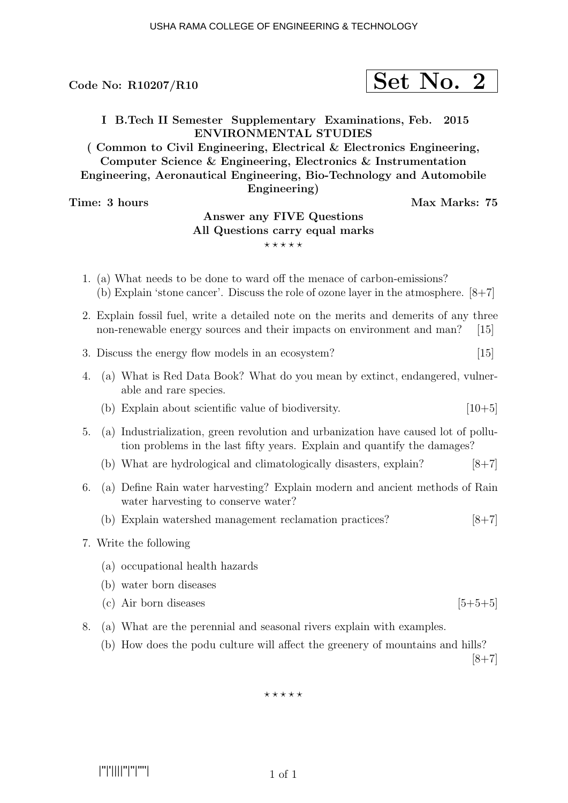Code No:  $R10207/R10$ 

$$
\fbox{Set No. 2}
$$

I B.Tech II Semester Supplementary Examinations, Feb. 2015 ENVIRONMENTAL STUDIES

( Common to Civil Engineering, Electrical & Electronics Engineering, Computer Science & Engineering, Electronics & Instrumentation Engineering, Aeronautical Engineering, Bio-Technology and Automobile Engineering)

Time: 3 hours Max Marks: 75

## Answer any FIVE Questions All Questions carry equal marks  $***$ \*\*

- 1. (a) What needs to be done to ward off the menace of carbon-emissions? (b) Explain 'stone cancer'. Discuss the role of ozone layer in the atmosphere. [8+7]
- 2. Explain fossil fuel, write a detailed note on the merits and demerits of any three non-renewable energy sources and their impacts on environment and man? [15]
- 3. Discuss the energy flow models in an ecosystem? [15]
- 4. (a) What is Red Data Book? What do you mean by extinct, endangered, vulnerable and rare species.
	- (b) Explain about scientific value of biodiversity.  $[10+5]$
- 5. (a) Industrialization, green revolution and urbanization have caused lot of pollution problems in the last fifty years. Explain and quantify the damages?
	- (b) What are hydrological and climatologically disasters, explain?  $[8+7]$
- 6. (a) Define Rain water harvesting? Explain modern and ancient methods of Rain water harvesting to conserve water?
	- (b) Explain watershed management reclamation practices? [8+7]
- 7. Write the following
	- (a) occupational health hazards
	- (b) water born diseases
	- (c) Air born diseases  $[5+5+5]$
- 8. (a) What are the perennial and seasonal rivers explain with examples.
	- (b) How does the podu culture will affect the greenery of mountains and hills?

 $|8+7|$ 

 $***$ \*\*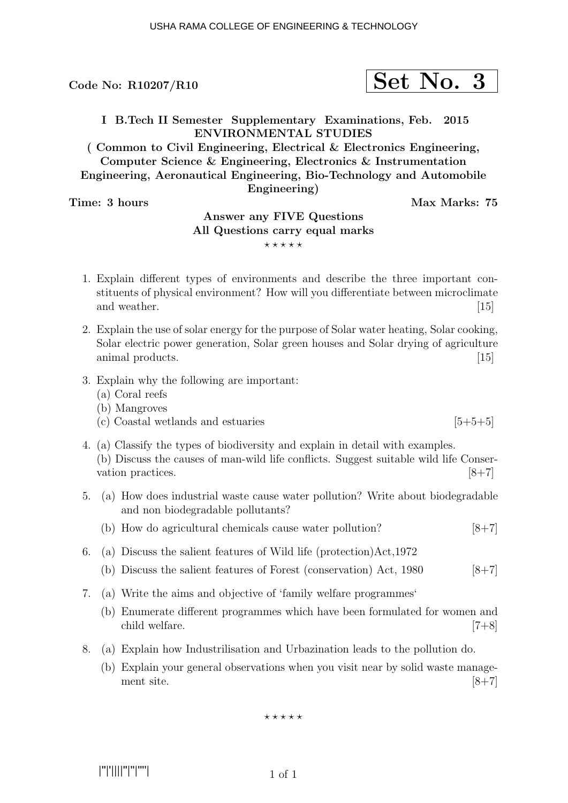Code No:  $R10207/R10$ 

$$
\fbox{Set No. 3}
$$

I B.Tech II Semester Supplementary Examinations, Feb. 2015 ENVIRONMENTAL STUDIES

( Common to Civil Engineering, Electrical & Electronics Engineering, Computer Science & Engineering, Electronics & Instrumentation Engineering, Aeronautical Engineering, Bio-Technology and Automobile Engineering)

Time: 3 hours Max Marks: 75

## Answer any FIVE Questions All Questions carry equal marks  $***$ \*\*

- 1. Explain different types of environments and describe the three important constituents of physical environment? How will you differentiate between microclimate and weather. [15]
- 2. Explain the use of solar energy for the purpose of Solar water heating, Solar cooking, Solar electric power generation, Solar green houses and Solar drying of agriculture animal products. [15]
- 3. Explain why the following are important:
	- (a) Coral reefs
	- (b) Mangroves
	- (c) Coastal wetlands and estuaries  $[5+5+5]$
- 4. (a) Classify the types of biodiversity and explain in detail with examples. (b) Discuss the causes of man-wild life conflicts. Suggest suitable wild life Conservation practices.  $[8+7]$
- 5. (a) How does industrial waste cause water pollution? Write about biodegradable and non biodegradable pollutants?
	- (b) How do agricultural chemicals cause water pollution?  $[8+7]$
- 6. (a) Discuss the salient features of Wild life (protection)Act,1972
	- (b) Discuss the salient features of Forest (conservation) Act,  $1980$  [8+7]
- 7. (a) Write the aims and objective of 'family welfare programmes'
	- (b) Enumerate different programmes which have been formulated for women and child welfare. [7+8]
- 8. (a) Explain how Industrilisation and Urbazination leads to the pollution do.
	- (b) Explain your general observations when you visit near by solid waste management site.  $[8+7]$

 $***$ \*\*

|''|'||||''|''|''''|